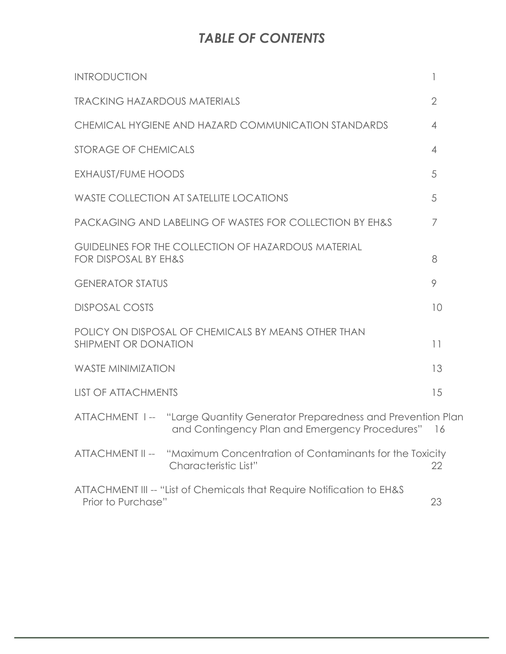# *TABLE OF CONTENTS*

| <b>INTRODUCTION</b>                                                                                                         | 1              |
|-----------------------------------------------------------------------------------------------------------------------------|----------------|
| <b>TRACKING HAZARDOUS MATERIALS</b>                                                                                         | $\overline{2}$ |
| CHEMICAL HYGIENE AND HAZARD COMMUNICATION STANDARDS                                                                         | $\overline{4}$ |
| <b>STORAGE OF CHEMICALS</b>                                                                                                 | $\overline{4}$ |
| <b>EXHAUST/FUME HOODS</b>                                                                                                   | 5              |
| <b>WASTE COLLECTION AT SATELLITE LOCATIONS</b>                                                                              | 5              |
| PACKAGING AND LABELING OF WASTES FOR COLLECTION BY EH&S                                                                     | 7              |
| GUIDELINES FOR THE COLLECTION OF HAZARDOUS MATERIAL<br>FOR DISPOSAL BY EH&S                                                 | 8              |
| <b>GENERATOR STATUS</b>                                                                                                     | 9              |
| <b>DISPOSAL COSTS</b>                                                                                                       | 10             |
| POLICY ON DISPOSAL OF CHEMICALS BY MEANS OTHER THAN<br><b>SHIPMENT OR DONATION</b>                                          | 11             |
| <b>WASTE MINIMIZATION</b>                                                                                                   | 13             |
| <b>LIST OF ATTACHMENTS</b>                                                                                                  | 15             |
| ATTACHMENT 1-- "Large Quantity Generator Preparedness and Prevention Plan<br>and Contingency Plan and Emergency Procedures" | -16            |
| ATTACHMENT II -- "Maximum Concentration of Contaminants for the Toxicity<br>Characteristic List"                            | 22             |
| ATTACHMENT III -- "List of Chemicals that Require Notification to EH&S<br>Prior to Purchase"                                | 23             |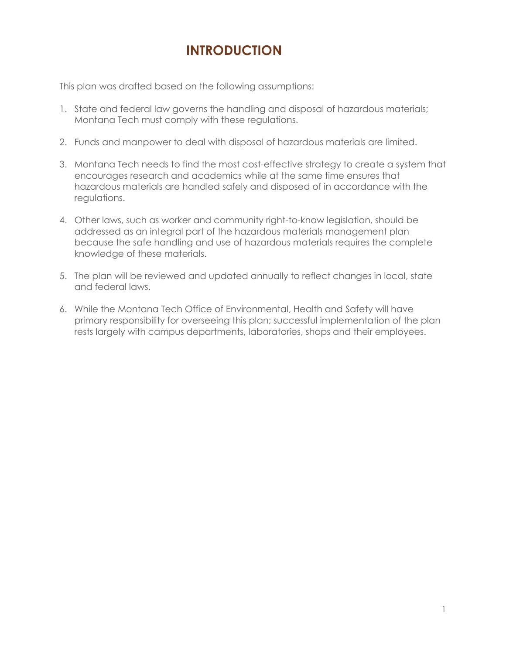## **INTRODUCTION**

This plan was drafted based on the following assumptions:

- 1. State and federal law governs the handling and disposal of hazardous materials; Montana Tech must comply with these regulations.
- 2. Funds and manpower to deal with disposal of hazardous materials are limited.
- 3. Montana Tech needs to find the most cost-effective strategy to create a system that encourages research and academics while at the same time ensures that hazardous materials are handled safely and disposed of in accordance with the regulations.
- 4. Other laws, such as worker and community right-to-know legislation, should be addressed as an integral part of the hazardous materials management plan because the safe handling and use of hazardous materials requires the complete knowledge of these materials.
- 5. The plan will be reviewed and updated annually to reflect changes in local, state and federal laws.
- 6. While the Montana Tech Office of Environmental, Health and Safety will have primary responsibility for overseeing this plan; successful implementation of the plan rests largely with campus departments, laboratories, shops and their employees.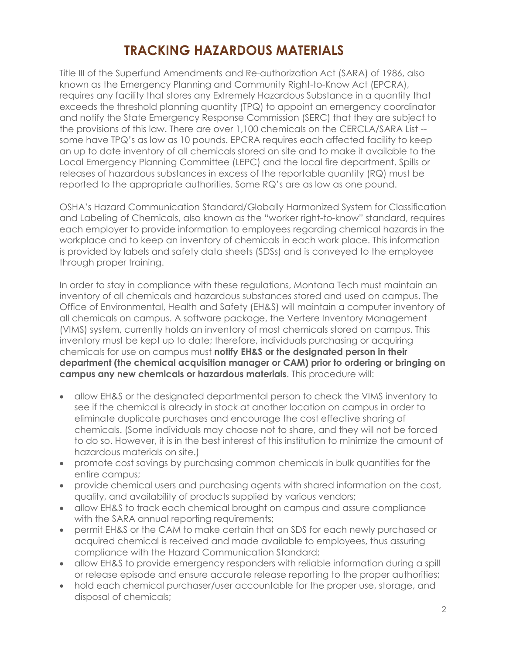## **TRACKING HAZARDOUS MATERIALS**

Title III of the Superfund Amendments and Re-authorization Act (SARA) of 1986, also known as the Emergency Planning and Community Right-to-Know Act (EPCRA), requires any facility that stores any Extremely Hazardous Substance in a quantity that exceeds the threshold planning quantity (TPQ) to appoint an emergency coordinator and notify the State Emergency Response Commission (SERC) that they are subject to the provisions of this law. There are over 1,100 chemicals on the CERCLA/SARA List - some have TPQ's as low as 10 pounds. EPCRA requires each affected facility to keep an up to date inventory of all chemicals stored on site and to make it available to the Local Emergency Planning Committee (LEPC) and the local fire department. Spills or releases of hazardous substances in excess of the reportable quantity (RQ) must be reported to the appropriate authorities. Some RQ's are as low as one pound.

OSHA's Hazard Communication Standard/Globally Harmonized System for Classification and Labeling of Chemicals, also known as the "worker right-to-know" standard, requires each employer to provide information to employees regarding chemical hazards in the workplace and to keep an inventory of chemicals in each work place. This information is provided by labels and safety data sheets (SDSs) and is conveyed to the employee through proper training.

In order to stay in compliance with these regulations, Montana Tech must maintain an inventory of all chemicals and hazardous substances stored and used on campus. The Office of Environmental, Health and Safety (EH&S) will maintain a computer inventory of all chemicals on campus. A software package, the Vertere Inventory Management (VIMS) system, currently holds an inventory of most chemicals stored on campus. This inventory must be kept up to date; therefore, individuals purchasing or acquiring chemicals for use on campus must **notify EH&S or the designated person in their department (the chemical acquisition manager or CAM) prior to ordering or bringing on campus any new chemicals or hazardous materials**. This procedure will:

- allow EH&S or the designated departmental person to check the VIMS inventory to see if the chemical is already in stock at another location on campus in order to eliminate duplicate purchases and encourage the cost effective sharing of chemicals. (Some individuals may choose not to share, and they will not be forced to do so. However, it is in the best interest of this institution to minimize the amount of hazardous materials on site.)
- promote cost savings by purchasing common chemicals in bulk quantities for the entire campus;
- provide chemical users and purchasing agents with shared information on the cost, quality, and availability of products supplied by various vendors;
- allow EH&S to track each chemical brought on campus and assure compliance with the SARA annual reporting requirements;
- permit EH&S or the CAM to make certain that an SDS for each newly purchased or acquired chemical is received and made available to employees, thus assuring compliance with the Hazard Communication Standard;
- allow EH&S to provide emergency responders with reliable information during a spill or release episode and ensure accurate release reporting to the proper authorities;
- hold each chemical purchaser/user accountable for the proper use, storage, and disposal of chemicals;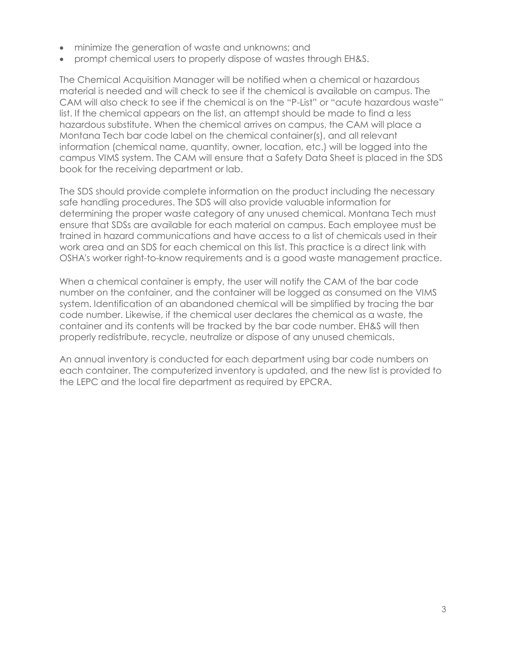- minimize the generation of waste and unknowns; and
- prompt chemical users to properly dispose of wastes through EH&S.

The Chemical Acquisition Manager will be notified when a chemical or hazardous material is needed and will check to see if the chemical is available on campus. The CAM will also check to see if the chemical is on the "P-List" or "acute hazardous waste" list. If the chemical appears on the list, an attempt should be made to find a less hazardous substitute. When the chemical arrives on campus, the CAM will place a Montana Tech bar code label on the chemical container(s), and all relevant information (chemical name, quantity, owner, location, etc.) will be logged into the campus VIMS system. The CAM will ensure that a Safety Data Sheet is placed in the SDS book for the receiving department or lab.

The SDS should provide complete information on the product including the necessary safe handling procedures. The SDS will also provide valuable information for determining the proper waste category of any unused chemical. Montana Tech must ensure that SDSs are available for each material on campus. Each employee must be trained in hazard communications and have access to a list of chemicals used in their work area and an SDS for each chemical on this list. This practice is a direct link with OSHA's worker right-to-know requirements and is a good waste management practice.

When a chemical container is empty, the user will notify the CAM of the bar code number on the container, and the container will be logged as consumed on the VIMS system. Identification of an abandoned chemical will be simplified by tracing the bar code number. Likewise, if the chemical user declares the chemical as a waste, the container and its contents will be tracked by the bar code number. EH&S will then properly redistribute, recycle, neutralize or dispose of any unused chemicals.

An annual inventory is conducted for each department using bar code numbers on each container. The computerized inventory is updated, and the new list is provided to the LEPC and the local fire department as required by EPCRA.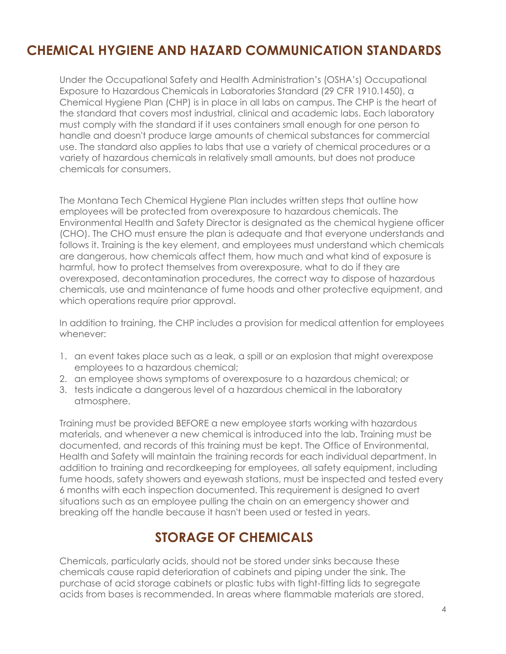## **CHEMICAL HYGIENE AND HAZARD COMMUNICATION STANDARDS**

Under the Occupational Safety and Health Administration's (OSHA's) Occupational Exposure to Hazardous Chemicals in Laboratories Standard (29 CFR 1910.1450), a Chemical Hygiene Plan (CHP) is in place in all labs on campus. The CHP is the heart of the standard that covers most industrial, clinical and academic labs. Each laboratory must comply with the standard if it uses containers small enough for one person to handle and doesn't produce large amounts of chemical substances for commercial use. The standard also applies to labs that use a variety of chemical procedures or a variety of hazardous chemicals in relatively small amounts, but does not produce chemicals for consumers.

The Montana Tech Chemical Hygiene Plan includes written steps that outline how employees will be protected from overexposure to hazardous chemicals. The Environmental Health and Safety Director is designated as the chemical hygiene officer (CHO). The CHO must ensure the plan is adequate and that everyone understands and follows it. Training is the key element, and employees must understand which chemicals are dangerous, how chemicals affect them, how much and what kind of exposure is harmful, how to protect themselves from overexposure, what to do if they are overexposed, decontamination procedures, the correct way to dispose of hazardous chemicals, use and maintenance of fume hoods and other protective equipment, and which operations require prior approval.

In addition to training, the CHP includes a provision for medical attention for employees whenever:

- 1. an event takes place such as a leak, a spill or an explosion that might overexpose employees to a hazardous chemical;
- 2. an employee shows symptoms of overexposure to a hazardous chemical; or
- 3. tests indicate a dangerous level of a hazardous chemical in the laboratory atmosphere.

Training must be provided BEFORE a new employee starts working with hazardous materials, and whenever a new chemical is introduced into the lab. Training must be documented, and records of this training must be kept. The Office of Environmental, Health and Safety will maintain the training records for each individual department. In addition to training and recordkeeping for employees, all safety equipment, including fume hoods, safety showers and eyewash stations, must be inspected and tested every 6 months with each inspection documented. This requirement is designed to avert situations such as an employee pulling the chain on an emergency shower and breaking off the handle because it hasn't been used or tested in years.

### **STORAGE OF CHEMICALS**

Chemicals, particularly acids, should not be stored under sinks because these chemicals cause rapid deterioration of cabinets and piping under the sink. The purchase of acid storage cabinets or plastic tubs with tight-fitting lids to segregate acids from bases is recommended. In areas where flammable materials are stored,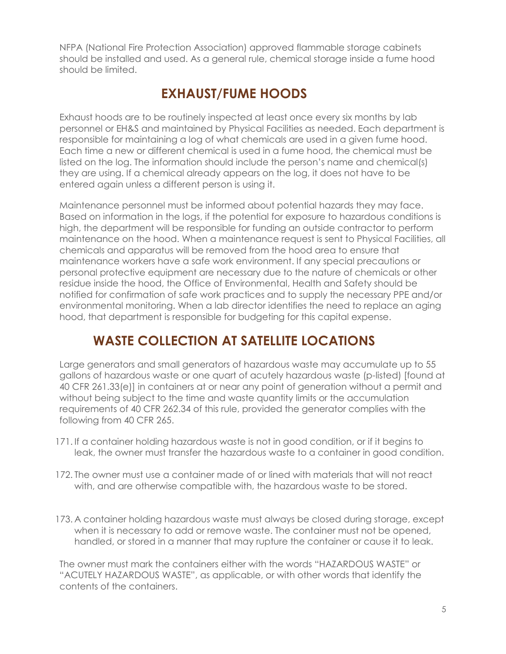NFPA (National Fire Protection Association) approved flammable storage cabinets should be installed and used. As a general rule, chemical storage inside a fume hood should be limited.

## **EXHAUST/FUME HOODS**

Exhaust hoods are to be routinely inspected at least once every six months by lab personnel or EH&S and maintained by Physical Facilities as needed. Each department is responsible for maintaining a log of what chemicals are used in a given fume hood. Each time a new or different chemical is used in a fume hood, the chemical must be listed on the log. The information should include the person's name and chemical(s) they are using. If a chemical already appears on the log, it does not have to be entered again unless a different person is using it.

Maintenance personnel must be informed about potential hazards they may face. Based on information in the logs, if the potential for exposure to hazardous conditions is high, the department will be responsible for funding an outside contractor to perform maintenance on the hood. When a maintenance request is sent to Physical Facilities, all chemicals and apparatus will be removed from the hood area to ensure that maintenance workers have a safe work environment. If any special precautions or personal protective equipment are necessary due to the nature of chemicals or other residue inside the hood, the Office of Environmental, Health and Safety should be notified for confirmation of safe work practices and to supply the necessary PPE and/or environmental monitoring. When a lab director identifies the need to replace an aging hood, that department is responsible for budgeting for this capital expense.

## **WASTE COLLECTION AT SATELLITE LOCATIONS**

Large generators and small generators of hazardous waste may accumulate up to 55 gallons of hazardous waste or one quart of acutely hazardous waste (p-listed) [found at 40 CFR 261.33(e)] in containers at or near any point of generation without a permit and without being subject to the time and waste quantity limits or the accumulation requirements of 40 CFR 262.34 of this rule, provided the generator complies with the following from 40 CFR 265.

- 171. If a container holding hazardous waste is not in good condition, or if it begins to leak, the owner must transfer the hazardous waste to a container in good condition.
- 172. The owner must use a container made of or lined with materials that will not react with, and are otherwise compatible with, the hazardous waste to be stored.
- 173. A container holding hazardous waste must always be closed during storage, except when it is necessary to add or remove waste. The container must not be opened, handled, or stored in a manner that may rupture the container or cause it to leak.

The owner must mark the containers either with the words "HAZARDOUS WASTE" or "ACUTELY HAZARDOUS WASTE", as applicable, or with other words that identify the contents of the containers.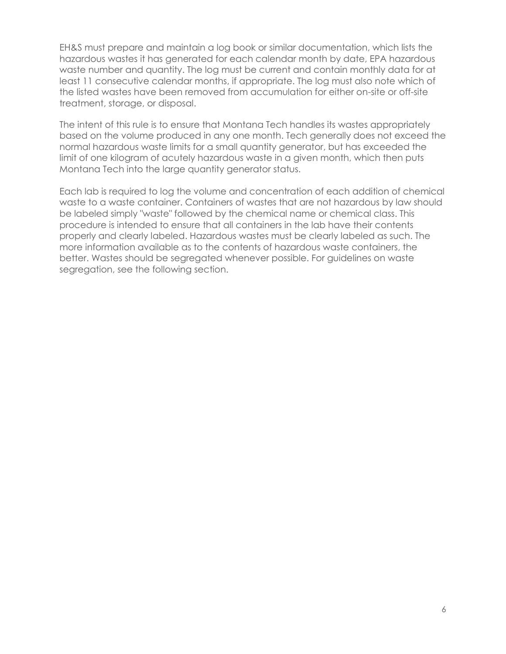EH&S must prepare and maintain a log book or similar documentation, which lists the hazardous wastes it has generated for each calendar month by date, EPA hazardous waste number and quantity. The log must be current and contain monthly data for at least 11 consecutive calendar months, if appropriate. The log must also note which of the listed wastes have been removed from accumulation for either on-site or off-site treatment, storage, or disposal.

The intent of this rule is to ensure that Montana Tech handles its wastes appropriately based on the volume produced in any one month. Tech generally does not exceed the normal hazardous waste limits for a small quantity generator, but has exceeded the limit of one kilogram of acutely hazardous waste in a given month, which then puts Montana Tech into the large quantity generator status.

Each lab is required to log the volume and concentration of each addition of chemical waste to a waste container. Containers of wastes that are not hazardous by law should be labeled simply "waste" followed by the chemical name or chemical class. This procedure is intended to ensure that all containers in the lab have their contents properly and clearly labeled. Hazardous wastes must be clearly labeled as such. The more information available as to the contents of hazardous waste containers, the better. Wastes should be segregated whenever possible. For guidelines on waste segregation, see the following section.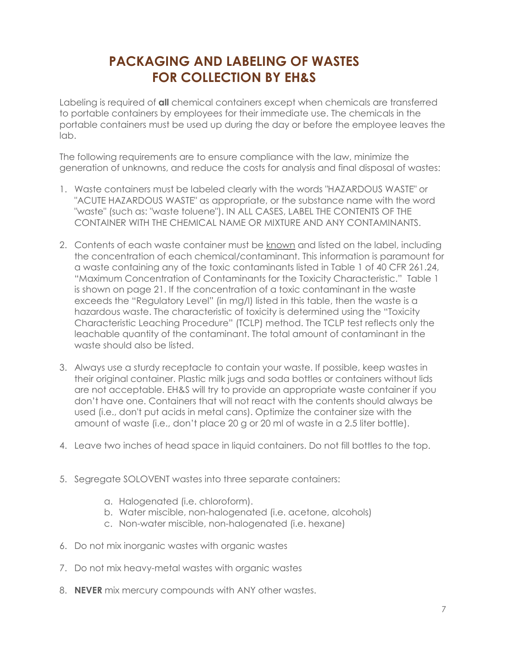## **PACKAGING AND LABELING OF WASTES FOR COLLECTION BY EH&S**

Labeling is required of **all** chemical containers except when chemicals are transferred to portable containers by employees for their immediate use. The chemicals in the portable containers must be used up during the day or before the employee leaves the lab.

The following requirements are to ensure compliance with the law, minimize the generation of unknowns, and reduce the costs for analysis and final disposal of wastes:

- 1. Waste containers must be labeled clearly with the words "HAZARDOUS WASTE" or "ACUTE HAZARDOUS WASTE" as appropriate, or the substance name with the word "waste" (such as: "waste toluene"). IN ALL CASES, LABEL THE CONTENTS OF THE CONTAINER WITH THE CHEMICAL NAME OR MIXTURE AND ANY CONTAMINANTS.
- 2. Contents of each waste container must be known and listed on the label, including the concentration of each chemical/contaminant. This information is paramount for a waste containing any of the toxic contaminants listed in Table 1 of 40 CFR 261.24, "Maximum Concentration of Contaminants for the Toxicity Characteristic." Table 1 is shown on page 21. If the concentration of a toxic contaminant in the waste exceeds the "Regulatory Level" (in mg/l) listed in this table, then the waste is a hazardous waste. The characteristic of toxicity is determined using the "Toxicity Characteristic Leaching Procedure" (TCLP) method. The TCLP test reflects only the leachable quantity of the contaminant. The total amount of contaminant in the waste should also be listed.
- 3. Always use a sturdy receptacle to contain your waste. If possible, keep wastes in their original container. Plastic milk jugs and soda bottles or containers without lids are not acceptable. EH&S will try to provide an appropriate waste container if you don't have one. Containers that will not react with the contents should always be used (i.e., don't put acids in metal cans). Optimize the container size with the amount of waste (i.e., don't place 20 g or 20 ml of waste in a 2.5 liter bottle).
- 4. Leave two inches of head space in liquid containers. Do not fill bottles to the top.
- 5. Segregate SOLOVENT wastes into three separate containers:
	- a. Halogenated (i.e. chloroform).
	- b. Water miscible, non-halogenated (i.e. acetone, alcohols)
	- c. Non-water miscible, non-halogenated (i.e. hexane)
- 6. Do not mix inorganic wastes with organic wastes
- 7. Do not mix heavy-metal wastes with organic wastes
- 8. **NEVER** mix mercury compounds with ANY other wastes.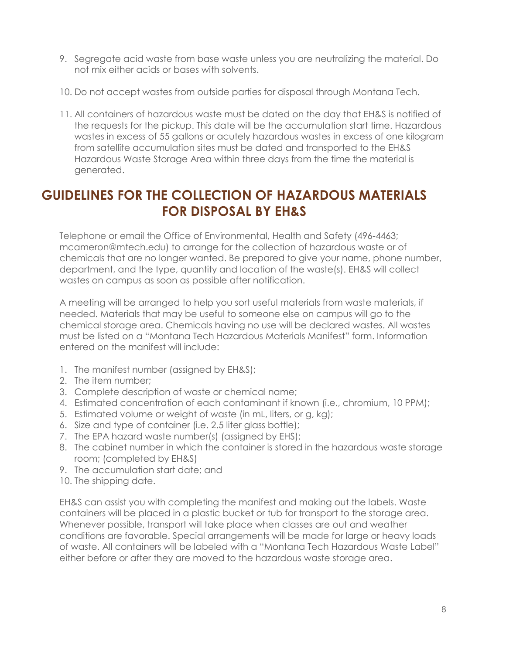- 9. Segregate acid waste from base waste unless you are neutralizing the material. Do not mix either acids or bases with solvents.
- 10. Do not accept wastes from outside parties for disposal through Montana Tech.
- 11. All containers of hazardous waste must be dated on the day that EH&S is notified of the requests for the pickup. This date will be the accumulation start time. Hazardous wastes in excess of 55 gallons or acutely hazardous wastes in excess of one kilogram from satellite accumulation sites must be dated and transported to the EH&S Hazardous Waste Storage Area within three days from the time the material is generated.

### **GUIDELINES FOR THE COLLECTION OF HAZARDOUS MATERIALS FOR DISPOSAL BY EH&S**

Telephone or email the Office of Environmental, Health and Safety (496-4463; mcameron@mtech.edu) to arrange for the collection of hazardous waste or of chemicals that are no longer wanted. Be prepared to give your name, phone number, department, and the type, quantity and location of the waste(s). EH&S will collect wastes on campus as soon as possible after notification.

A meeting will be arranged to help you sort useful materials from waste materials, if needed. Materials that may be useful to someone else on campus will go to the chemical storage area. Chemicals having no use will be declared wastes. All wastes must be listed on a "Montana Tech Hazardous Materials Manifest" form. Information entered on the manifest will include:

- 1. The manifest number (assigned by EH&S);
- 2. The item number;
- 3. Complete description of waste or chemical name;
- 4. Estimated concentration of each contaminant if known (i.e., chromium, 10 PPM);
- 5. Estimated volume or weight of waste (in mL, liters, or g, kg);
- 6. Size and type of container (i.e. 2.5 liter glass bottle);
- 7. The EPA hazard waste number(s) (assigned by EHS);
- 8. The cabinet number in which the container is stored in the hazardous waste storage room; (completed by EH&S)
- 9. The accumulation start date; and
- 10. The shipping date.

EH&S can assist you with completing the manifest and making out the labels. Waste containers will be placed in a plastic bucket or tub for transport to the storage area. Whenever possible, transport will take place when classes are out and weather conditions are favorable. Special arrangements will be made for large or heavy loads of waste. All containers will be labeled with a "Montana Tech Hazardous Waste Label" either before or after they are moved to the hazardous waste storage area.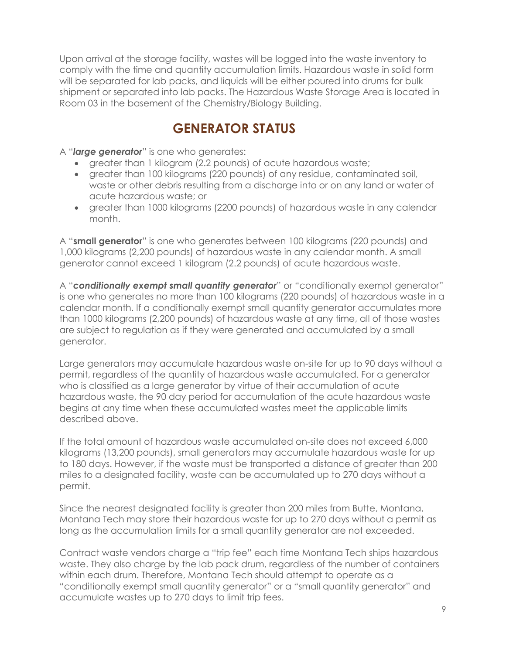Upon arrival at the storage facility, wastes will be logged into the waste inventory to comply with the time and quantity accumulation limits. Hazardous waste in solid form will be separated for lab packs, and liquids will be either poured into drums for bulk shipment or separated into lab packs. The Hazardous Waste Storage Area is located in Room 03 in the basement of the Chemistry/Biology Building.

### **GENERATOR STATUS**

A "*large generator*" is one who generates:

- greater than 1 kilogram (2.2 pounds) of acute hazardous waste;
- greater than 100 kilograms (220 pounds) of any residue, contaminated soil, waste or other debris resulting from a discharge into or on any land or water of acute hazardous waste; or
- greater than 1000 kilograms (2200 pounds) of hazardous waste in any calendar month.

A "**small generator**" is one who generates between 100 kilograms (220 pounds) and 1,000 kilograms (2,200 pounds) of hazardous waste in any calendar month. A small generator cannot exceed 1 kilogram (2.2 pounds) of acute hazardous waste.

A "*conditionally exempt small quantity generator*" or "conditionally exempt generator" is one who generates no more than 100 kilograms (220 pounds) of hazardous waste in a calendar month. If a conditionally exempt small quantity generator accumulates more than 1000 kilograms (2,200 pounds) of hazardous waste at any time, all of those wastes are subject to regulation as if they were generated and accumulated by a small generator.

Large generators may accumulate hazardous waste on-site for up to 90 days without a permit, regardless of the quantity of hazardous waste accumulated. For a generator who is classified as a large generator by virtue of their accumulation of acute hazardous waste, the 90 day period for accumulation of the acute hazardous waste begins at any time when these accumulated wastes meet the applicable limits described above.

If the total amount of hazardous waste accumulated on-site does not exceed 6,000 kilograms (13,200 pounds), small generators may accumulate hazardous waste for up to 180 days. However, if the waste must be transported a distance of greater than 200 miles to a designated facility, waste can be accumulated up to 270 days without a permit.

Since the nearest designated facility is greater than 200 miles from Butte, Montana, Montana Tech may store their hazardous waste for up to 270 days without a permit as long as the accumulation limits for a small quantity generator are not exceeded.

Contract waste vendors charge a "trip fee" each time Montana Tech ships hazardous waste. They also charge by the lab pack drum, regardless of the number of containers within each drum. Therefore, Montana Tech should attempt to operate as a "conditionally exempt small quantity generator" or a "small quantity generator" and accumulate wastes up to 270 days to limit trip fees.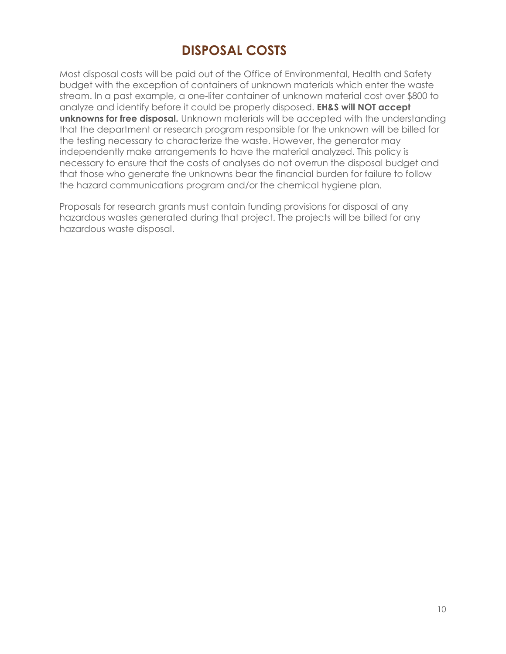## **DISPOSAL COSTS**

Most disposal costs will be paid out of the Office of Environmental, Health and Safety budget with the exception of containers of unknown materials which enter the waste stream. In a past example, a one-liter container of unknown material cost over \$800 to analyze and identify before it could be properly disposed. **EH&S will NOT accept unknowns for free disposal.** Unknown materials will be accepted with the understanding that the department or research program responsible for the unknown will be billed for the testing necessary to characterize the waste. However, the generator may independently make arrangements to have the material analyzed. This policy is necessary to ensure that the costs of analyses do not overrun the disposal budget and that those who generate the unknowns bear the financial burden for failure to follow the hazard communications program and/or the chemical hygiene plan.

Proposals for research grants must contain funding provisions for disposal of any hazardous wastes generated during that project. The projects will be billed for any hazardous waste disposal.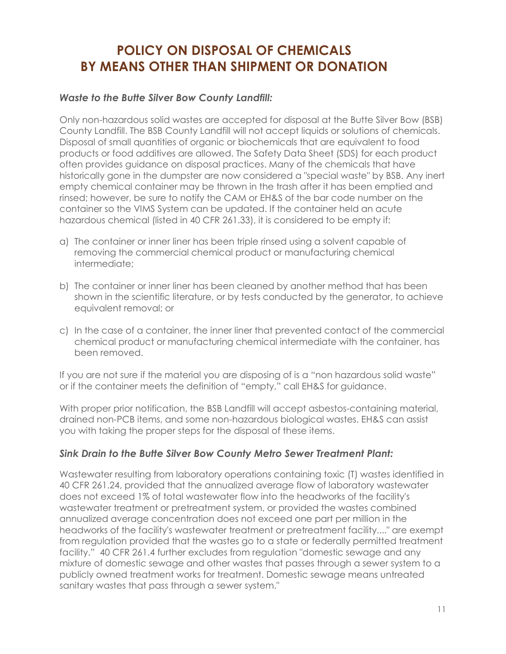## **POLICY ON DISPOSAL OF CHEMICALS BY MEANS OTHER THAN SHIPMENT OR DONATION**

### *Waste to the Butte Silver Bow County Landfill:*

Only non-hazardous solid wastes are accepted for disposal at the Butte Silver Bow (BSB) County Landfill. The BSB County Landfill will not accept liquids or solutions of chemicals. Disposal of small quantities of organic or biochemicals that are equivalent to food products or food additives are allowed. The Safety Data Sheet (SDS) for each product often provides guidance on disposal practices. Many of the chemicals that have historically gone in the dumpster are now considered a "special waste" by BSB. Any inert empty chemical container may be thrown in the trash after it has been emptied and rinsed; however, be sure to notify the CAM or EH&S of the bar code number on the container so the VIMS System can be updated. If the container held an acute hazardous chemical (listed in 40 CFR 261.33), it is considered to be empty if:

- a) The container or inner liner has been triple rinsed using a solvent capable of removing the commercial chemical product or manufacturing chemical intermediate;
- b) The container or inner liner has been cleaned by another method that has been shown in the scientific literature, or by tests conducted by the generator, to achieve equivalent removal; or
- c) In the case of a container, the inner liner that prevented contact of the commercial chemical product or manufacturing chemical intermediate with the container, has been removed.

If you are not sure if the material you are disposing of is a "non hazardous solid waste" or if the container meets the definition of "empty," call EH&S for guidance.

With proper prior notification, the BSB Landfill will accept asbestos-containing material, drained non-PCB items, and some non-hazardous biological wastes. EH&S can assist you with taking the proper steps for the disposal of these items.

### *Sink Drain to the Butte Silver Bow County Metro Sewer Treatment Plant:*

Wastewater resulting from laboratory operations containing toxic (T) wastes identified in 40 CFR 261.24, provided that the annualized average flow of laboratory wastewater does not exceed 1% of total wastewater flow into the headworks of the facility's wastewater treatment or pretreatment system, or provided the wastes combined annualized average concentration does not exceed one part per million in the headworks of the facility's wastewater treatment or pretreatment facility...." are exempt from regulation provided that the wastes go to a state or federally permitted treatment facility." 40 CFR 261.4 further excludes from regulation "domestic sewage and any mixture of domestic sewage and other wastes that passes through a sewer system to a publicly owned treatment works for treatment. Domestic sewage means untreated sanitary wastes that pass through a sewer system."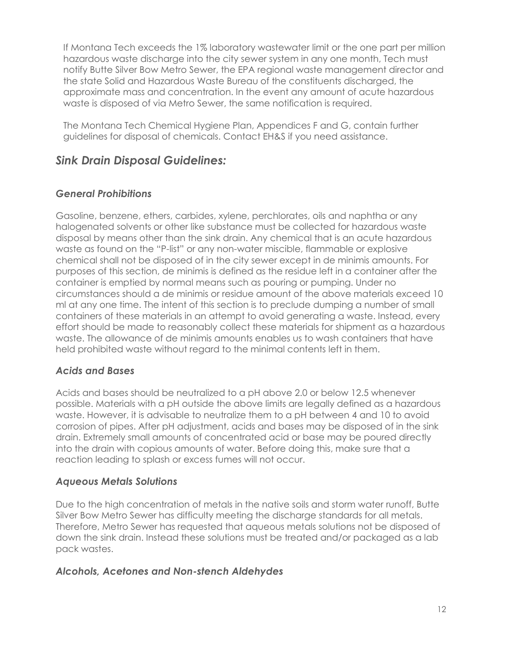If Montana Tech exceeds the 1% laboratory wastewater limit or the one part per million hazardous waste discharge into the city sewer system in any one month, Tech must notify Butte Silver Bow Metro Sewer, the EPA regional waste management director and the state Solid and Hazardous Waste Bureau of the constituents discharged, the approximate mass and concentration. In the event any amount of acute hazardous waste is disposed of via Metro Sewer, the same notification is required.

The Montana Tech Chemical Hygiene Plan, Appendices F and G, contain further guidelines for disposal of chemicals. Contact EH&S if you need assistance.

### *Sink Drain Disposal Guidelines:*

### *General Prohibitions*

Gasoline, benzene, ethers, carbides, xylene, perchlorates, oils and naphtha or any halogenated solvents or other like substance must be collected for hazardous waste disposal by means other than the sink drain. Any chemical that is an acute hazardous waste as found on the "P-list" or any non-water miscible, flammable or explosive chemical shall not be disposed of in the city sewer except in de minimis amounts. For purposes of this section, de minimis is defined as the residue left in a container after the container is emptied by normal means such as pouring or pumping. Under no circumstances should a de minimis or residue amount of the above materials exceed 10 ml at any one time. The intent of this section is to preclude dumping a number of small containers of these materials in an attempt to avoid generating a waste. Instead, every effort should be made to reasonably collect these materials for shipment as a hazardous waste. The allowance of de minimis amounts enables us to wash containers that have held prohibited waste without regard to the minimal contents left in them.

### *Acids and Bases*

Acids and bases should be neutralized to a pH above 2.0 or below 12.5 whenever possible. Materials with a pH outside the above limits are legally defined as a hazardous waste. However, it is advisable to neutralize them to a pH between 4 and 10 to avoid corrosion of pipes. After pH adjustment, acids and bases may be disposed of in the sink drain. Extremely small amounts of concentrated acid or base may be poured directly into the drain with copious amounts of water. Before doing this, make sure that a reaction leading to splash or excess fumes will not occur.

### *Aqueous Metals Solutions*

Due to the high concentration of metals in the native soils and storm water runoff, Butte Silver Bow Metro Sewer has difficulty meeting the discharge standards for all metals. Therefore, Metro Sewer has requested that aqueous metals solutions not be disposed of down the sink drain. Instead these solutions must be treated and/or packaged as a lab pack wastes.

### *Alcohols, Acetones and Non-stench Aldehydes*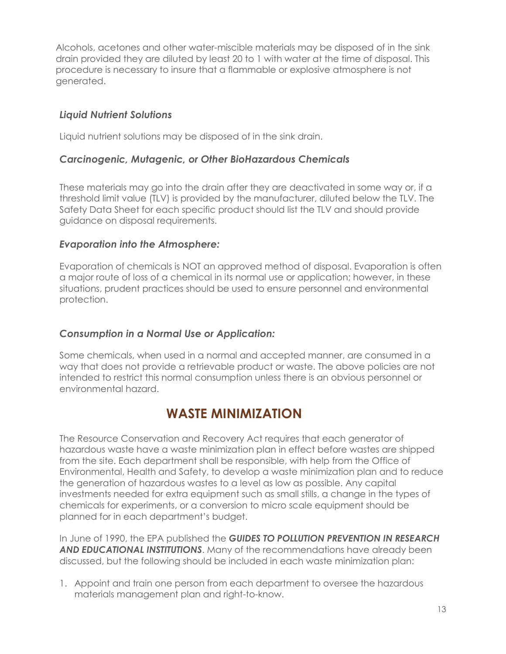Alcohols, acetones and other water-miscible materials may be disposed of in the sink drain provided they are diluted by least 20 to 1 with water at the time of disposal. This procedure is necessary to insure that a flammable or explosive atmosphere is not generated.

### *Liquid Nutrient Solutions*

Liquid nutrient solutions may be disposed of in the sink drain.

### *Carcinogenic, Mutagenic, or Other BioHazardous Chemicals*

These materials may go into the drain after they are deactivated in some way or, if a threshold limit value (TLV) is provided by the manufacturer, diluted below the TLV. The Safety Data Sheet for each specific product should list the TLV and should provide guidance on disposal requirements.

### *Evaporation into the Atmosphere:*

Evaporation of chemicals is NOT an approved method of disposal. Evaporation is often a major route of loss of a chemical in its normal use or application; however, in these situations, prudent practices should be used to ensure personnel and environmental protection.

### *Consumption in a Normal Use or Application:*

Some chemicals, when used in a normal and accepted manner, are consumed in a way that does not provide a retrievable product or waste. The above policies are not intended to restrict this normal consumption unless there is an obvious personnel or environmental hazard.

### **WASTE MINIMIZATION**

The Resource Conservation and Recovery Act requires that each generator of hazardous waste have a waste minimization plan in effect before wastes are shipped from the site. Each department shall be responsible, with help from the Office of Environmental, Health and Safety, to develop a waste minimization plan and to reduce the generation of hazardous wastes to a level as low as possible. Any capital investments needed for extra equipment such as small stills, a change in the types of chemicals for experiments, or a conversion to micro scale equipment should be planned for in each department's budget.

In June of 1990, the EPA published the *GUIDES TO POLLUTION PREVENTION IN RESEARCH AND EDUCATIONAL INSTITUTIONS*. Many of the recommendations have already been discussed, but the following should be included in each waste minimization plan:

1. Appoint and train one person from each department to oversee the hazardous materials management plan and right-to-know.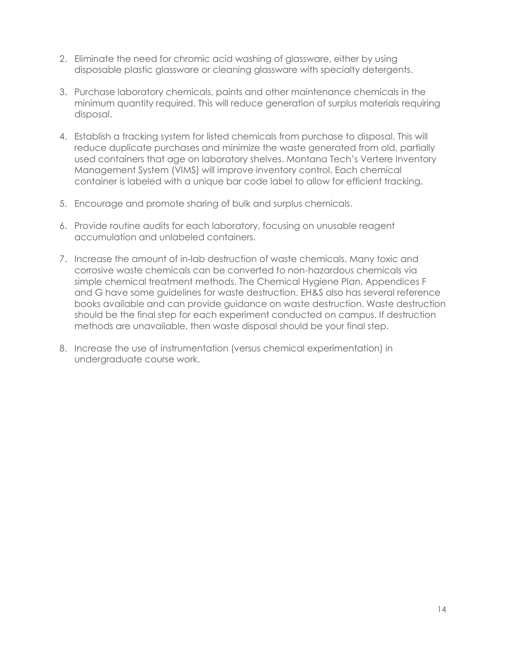- 2. Eliminate the need for chromic acid washing of glassware, either by using disposable plastic glassware or cleaning glassware with specialty detergents.
- 3. Purchase laboratory chemicals, paints and other maintenance chemicals in the minimum quantity required. This will reduce generation of surplus materials requiring disposal.
- 4. Establish a tracking system for listed chemicals from purchase to disposal. This will reduce duplicate purchases and minimize the waste generated from old, partially used containers that age on laboratory shelves. Montana Tech's Vertere Inventory Management System (VIMS) will improve inventory control. Each chemical container is labeled with a unique bar code label to allow for efficient tracking.
- 5. Encourage and promote sharing of bulk and surplus chemicals.
- 6. Provide routine audits for each laboratory, focusing on unusable reagent accumulation and unlabeled containers.
- 7. Increase the amount of in-lab destruction of waste chemicals. Many toxic and corrosive waste chemicals can be converted to non-hazardous chemicals via simple chemical treatment methods. The Chemical Hygiene Plan, Appendices F and G have some guidelines for waste destruction. EH&S also has several reference books available and can provide guidance on waste destruction. Waste destruction should be the final step for each experiment conducted on campus. If destruction methods are unavailable, then waste disposal should be your final step.
- 8. Increase the use of instrumentation (versus chemical experimentation) in undergraduate course work.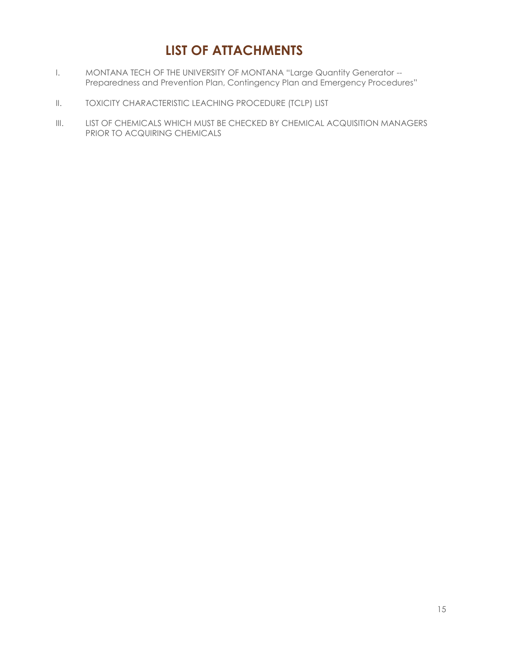## **LIST OF ATTACHMENTS**

- I. MONTANA TECH OF THE UNIVERSITY OF MONTANA "Large Quantity Generator --Preparedness and Prevention Plan, Contingency Plan and Emergency Procedures"
- II. TOXICITY CHARACTERISTIC LEACHING PROCEDURE (TCLP) LIST
- III. LIST OF CHEMICALS WHICH MUST BE CHECKED BY CHEMICAL ACQUISITION MANAGERS PRIOR TO ACQUIRING CHEMICALS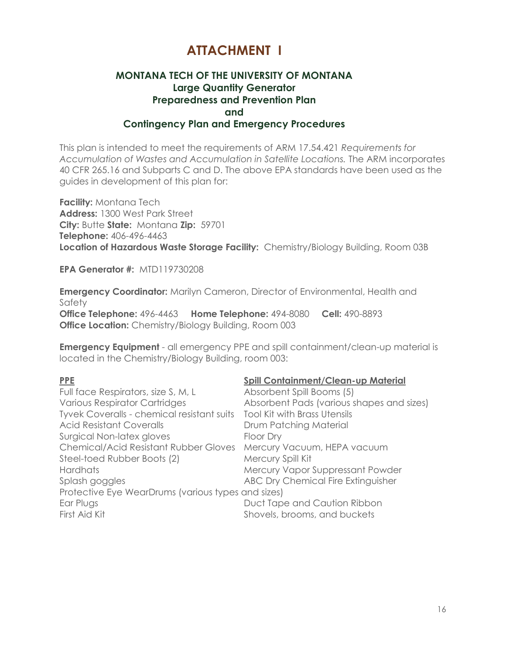### **ATTACHMENT I**

#### **MONTANA TECH OF THE UNIVERSITY OF MONTANA Large Quantity Generator Preparedness and Prevention Plan and Contingency Plan and Emergency Procedures**

This plan is intended to meet the requirements of ARM 17.54.421 *Requirements for Accumulation of Wastes and Accumulation in Satellite Locations.* The ARM incorporates 40 CFR 265.16 and Subparts C and D. The above EPA standards have been used as the guides in development of this plan for:

**Facility:** Montana Tech **Address:** 1300 West Park Street **City:** Butte **State:** Montana **Zip:** 59701 **Telephone:** 406-496-4463 **Location of Hazardous Waste Storage Facility:** Chemistry/Biology Building, Room 03B

**EPA Generator #:** MTD119730208

**Emergency Coordinator:** Marilyn Cameron, Director of Environmental, Health and Safety **Office Telephone:** 496-4463 **Home Telephone:** 494-8080 **Cell:** 490-8893 **Office Location:** Chemistry/Biology Building, Room 003

**Emergency Equipment** - all emergency PPE and spill containment/clean-up material is located in the Chemistry/Biology Building, room 003:

#### **PPE Spill Containment/Clean-up Material**

| .                                                                        | <u>Julianus Communistration Multiple</u>  |
|--------------------------------------------------------------------------|-------------------------------------------|
| Full face Respirators, size S, M, L                                      | Absorbent Spill Booms (5)                 |
| <b>Various Respirator Cartridges</b>                                     | Absorbent Pads (various shapes and sizes) |
| Tyvek Coveralls - chemical resistant suits  Tool Kit with Brass Utensils |                                           |
| <b>Acid Resistant Coveralls</b>                                          | Drum Patching Material                    |
| Surgical Non-latex gloves                                                | Floor Dry                                 |
| Chemical/Acid Resistant Rubber Gloves Mercury Vacuum, HEPA vacuum        |                                           |
| Steel-toed Rubber Boots (2)                                              | Mercury Spill Kit                         |
| <b>Hardhats</b>                                                          | Mercury Vapor Suppressant Powder          |
| Splash goggles                                                           | ABC Dry Chemical Fire Extinguisher        |
| Protective Eye WearDrums (various types and sizes)                       |                                           |
| Ear Plugs                                                                | Duct Tape and Caution Ribbon              |
| First Aid Kit                                                            | Shovels, brooms, and buckets              |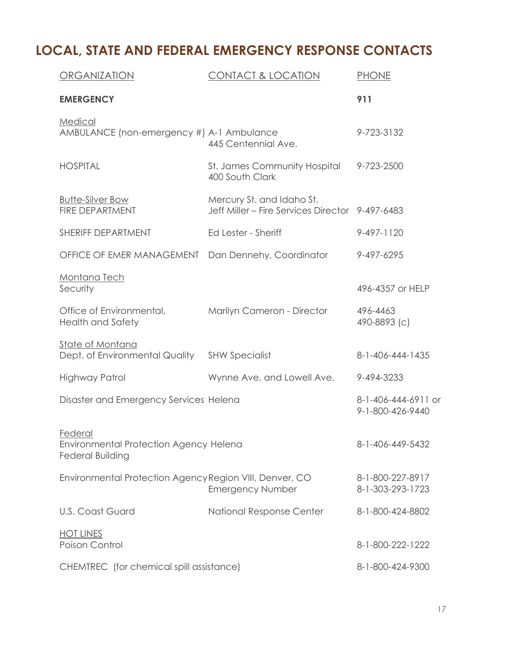# **LOCAL, STATE AND FEDERAL EMERGENCY RESPONSE CONTACTS**

| ORGANIZATION                                                                        | <b>CONTACT &amp; LOCATION</b>                                                | <b>PHONE</b>                            |
|-------------------------------------------------------------------------------------|------------------------------------------------------------------------------|-----------------------------------------|
| <b>EMERGENCY</b>                                                                    |                                                                              | 911                                     |
| Medical<br>AMBULANCE (non-emergency #) A-1 Ambulance                                | 445 Centennial Ave.                                                          | 9-723-3132                              |
| <b>HOSPITAL</b>                                                                     | St. James Community Hospital<br>400 South Clark                              | 9-723-2500                              |
| <b>Butte-Silver Bow</b><br><b>FIRE DEPARTMENT</b>                                   | Mercury St. and Idaho St.<br>Jeff Miller - Fire Services Director 9-497-6483 |                                         |
| SHERIFF DEPARTMENT                                                                  | Ed Lester - Sheriff                                                          | 9-497-1120                              |
| OFFICE OF EMER MANAGEMENT                                                           | Dan Dennehy, Coordinator                                                     | 9-497-6295                              |
| Montana Tech<br>Security                                                            |                                                                              | 496-4357 or HELP                        |
| Office of Environmental,<br><b>Health and Safety</b>                                | Marilyn Cameron - Director                                                   | 496-4463<br>490-8893 (c)                |
| State of Montana<br>Dept. of Environmental Quality                                  | <b>SHW Specialist</b>                                                        | 8-1-406-444-1435                        |
| Highway Patrol                                                                      | Wynne Ave. and Lowell Ave.                                                   | 9-494-3233                              |
| Disaster and Emergency Services Helena                                              |                                                                              | 8-1-406-444-6911 or<br>9-1-800-426-9440 |
| <b>Federal</b><br>Environmental Protection Agency Helena<br><b>Federal Building</b> |                                                                              | 8-1-406-449-5432                        |
| Environmental Protection Agency Region VIII, Denver, CO                             | <b>Emergency Number</b>                                                      | 8-1-800-227-8917<br>8-1-303-293-1723    |
| <b>U.S. Coast Guard</b>                                                             | National Response Center                                                     | 8-1-800-424-8802                        |
| <b>HOT LINES</b><br>Poison Control                                                  |                                                                              | 8-1-800-222-1222                        |
| CHEMTREC (for chemical spill assistance)                                            |                                                                              | 8-1-800-424-9300                        |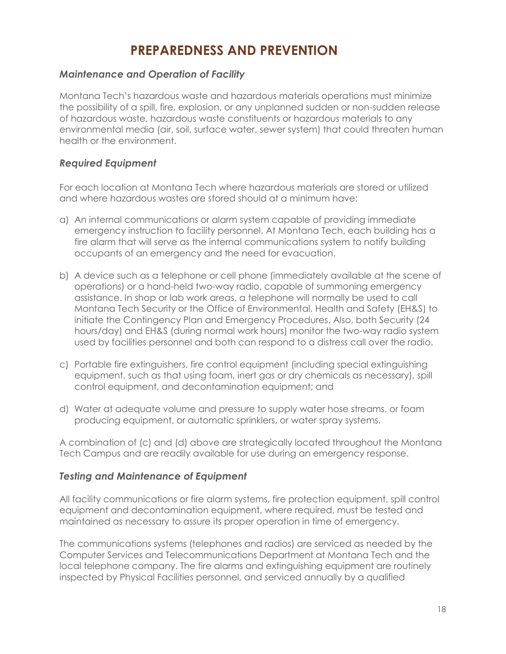## **PREPAREDNESS AND PREVENTION**

### *Maintenance and Operation of Facility*

Montana Tech's hazardous waste and hazardous materials operations must minimize the possibility of a spill, fire, explosion, or any unplanned sudden or non-sudden release of hazardous waste, hazardous waste constituents or hazardous materials to any environmental media (air, soil, surface water, sewer system) that could threaten human health or the environment.

### *Required Equipment*

For each location at Montana Tech where hazardous materials are stored or utilized and where hazardous wastes are stored should at a minimum have:

- a) An internal communications or alarm system capable of providing immediate emergency instruction to facility personnel. At Montana Tech, each building has a fire alarm that will serve as the internal communications system to notify building occupants of an emergency and the need for evacuation.
- b) A device such as a telephone or cell phone (immediately available at the scene of operations) or a hand-held two-way radio, capable of summoning emergency assistance. In shop or lab work areas, a telephone will normally be used to call Montana Tech Security or the Office of Environmental, Health and Safety (EH&S) to initiate the Contingency Plan and Emergency Procedures. Also, both Security (24 hours/day) and EH&S (during normal work hours) monitor the two-way radio system used by facilities personnel and both can respond to a distress call over the radio.
- c) Portable fire extinguishers, fire control equipment (including special extinguishing equipment, such as that using foam, inert gas or dry chemicals as necessary), spill control equipment, and decontamination equipment; and
- d) Water at adequate volume and pressure to supply water hose streams, or foam producing equipment, or automatic sprinklers, or water spray systems.

A combination of (c) and (d) above are strategically located throughout the Montana Tech Campus and are readily available for use during an emergency response.

### *Testing and Maintenance of Equipment*

All facility communications or fire alarm systems, fire protection equipment, spill control equipment and decontamination equipment, where required, must be tested and maintained as necessary to assure its proper operation in time of emergency.

The communications systems (telephones and radios) are serviced as needed by the Computer Services and Telecommunications Department at Montana Tech and the local telephone company. The fire alarms and extinguishing equipment are routinely inspected by Physical Facilities personnel, and serviced annually by a qualified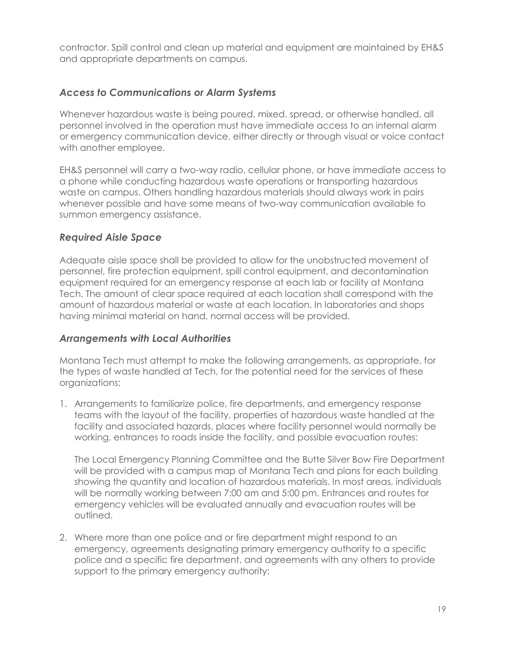contractor. Spill control and clean up material and equipment are maintained by EH&S and appropriate departments on campus.

### *Access to Communications or Alarm Systems*

Whenever hazardous waste is being poured, mixed, spread, or otherwise handled, all personnel involved in the operation must have immediate access to an internal alarm or emergency communication device, either directly or through visual or voice contact with another employee.

EH&S personnel will carry a two-way radio, cellular phone, or have immediate access to a phone while conducting hazardous waste operations or transporting hazardous waste on campus. Others handling hazardous materials should always work in pairs whenever possible and have some means of two-way communication available to summon emergency assistance.

### *Required Aisle Space*

Adequate aisle space shall be provided to allow for the unobstructed movement of personnel, fire protection equipment, spill control equipment, and decontamination equipment required for an emergency response at each lab or facility at Montana Tech. The amount of clear space required at each location shall correspond with the amount of hazardous material or waste at each location. In laboratories and shops having minimal material on hand, normal access will be provided.

### *Arrangements with Local Authorities*

Montana Tech must attempt to make the following arrangements, as appropriate, for the types of waste handled at Tech, for the potential need for the services of these organizations:

1. Arrangements to familiarize police, fire departments, and emergency response teams with the layout of the facility, properties of hazardous waste handled at the facility and associated hazards, places where facility personnel would normally be working, entrances to roads inside the facility, and possible evacuation routes:

The Local Emergency Planning Committee and the Butte Silver Bow Fire Department will be provided with a campus map of Montana Tech and plans for each building showing the quantity and location of hazardous materials. In most areas, individuals will be normally working between 7:00 am and 5:00 pm. Entrances and routes for emergency vehicles will be evaluated annually and evacuation routes will be outlined.

2. Where more than one police and or fire department might respond to an emergency, agreements designating primary emergency authority to a specific police and a specific fire department, and agreements with any others to provide support to the primary emergency authority: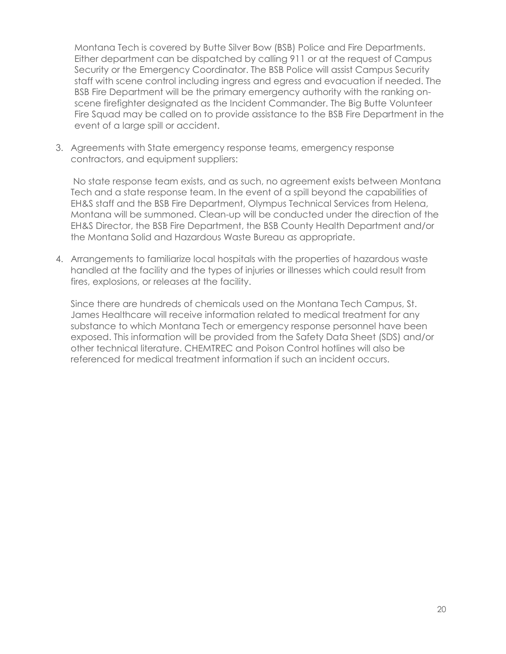Montana Tech is covered by Butte Silver Bow (BSB) Police and Fire Departments. Either department can be dispatched by calling 911 or at the request of Campus Security or the Emergency Coordinator. The BSB Police will assist Campus Security staff with scene control including ingress and egress and evacuation if needed. The BSB Fire Department will be the primary emergency authority with the ranking onscene firefighter designated as the Incident Commander. The Big Butte Volunteer Fire Squad may be called on to provide assistance to the BSB Fire Department in the event of a large spill or accident.

3. Agreements with State emergency response teams, emergency response contractors, and equipment suppliers:

No state response team exists, and as such, no agreement exists between Montana Tech and a state response team. In the event of a spill beyond the capabilities of EH&S staff and the BSB Fire Department, Olympus Technical Services from Helena, Montana will be summoned. Clean-up will be conducted under the direction of the EH&S Director, the BSB Fire Department, the BSB County Health Department and/or the Montana Solid and Hazardous Waste Bureau as appropriate.

4. Arrangements to familiarize local hospitals with the properties of hazardous waste handled at the facility and the types of injuries or illnesses which could result from fires, explosions, or releases at the facility.

Since there are hundreds of chemicals used on the Montana Tech Campus, St. James Healthcare will receive information related to medical treatment for any substance to which Montana Tech or emergency response personnel have been exposed. This information will be provided from the Safety Data Sheet (SDS) and/or other technical literature. CHEMTREC and Poison Control hotlines will also be referenced for medical treatment information if such an incident occurs.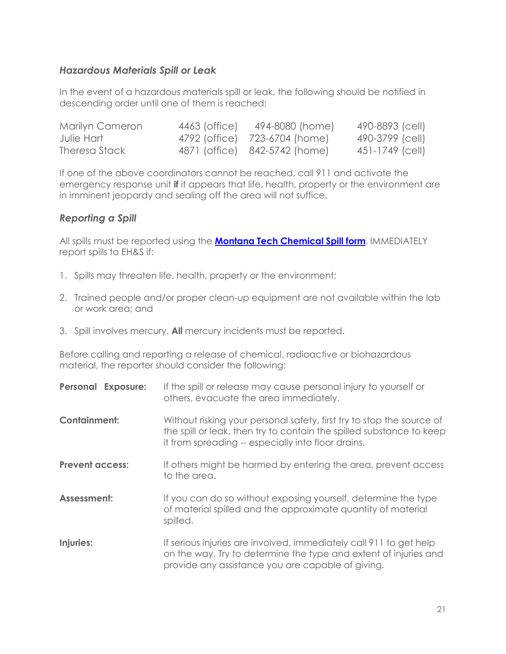### *Hazardous Materials Spill or Leak*

In the event of a hazardous materials spill or leak, the following should be notified in descending order until one of them is reached:

| Marilyn Cameron | 4463 (office) | 494-8080 (home)               | 490-8893 (cell) |
|-----------------|---------------|-------------------------------|-----------------|
| Julie Hart      |               | 4792 (office) 723-6704 (home) | 490-3799 (cell) |
| Theresa Stack   |               | 4871 (office) 842-5742 (home) | 451-1749 (cell) |

If one of the above coordinators cannot be reached, call 911 and activate the emergency response unit **if** it appears that life, health, property or the environment are in imminent jeopardy and sealing off the area will not suffice.

### *Reporting a Spill*

All spills must be reported using the **[Montana Tech Chemical Spill form](http://www.mtech.edu/env_health_safety/chem_lab/docs/chemical-spill-report-form.pdf)**. IMMEDIATELY report spills to EH&S if:

- 1. Spills may threaten life, health, property or the environment;
- 2. Trained people and/or proper clean-up equipment are not available within the lab or work area; and
- 3. Spill involves mercury. **All** mercury incidents must be reported.

Before calling and reporting a release of chemical, radioactive or biohazardous material, the reporter should consider the following:

| <b>Personal Exposure:</b> | If the spill or release may cause personal injury to yourself or<br>others, evacuate the area immediately.                                                                                          |
|---------------------------|-----------------------------------------------------------------------------------------------------------------------------------------------------------------------------------------------------|
| <b>Containment:</b>       | Without risking your personal safety, first try to stop the source of<br>the spill or leak, then try to contain the spilled substance to keep<br>it from spreading -- especially into floor drains. |
| <b>Prevent access:</b>    | If others might be harmed by entering the area, prevent access<br>to the area.                                                                                                                      |
| Assessment:               | If you can do so without exposing yourself, determine the type<br>of material spilled and the approximate quantity of material<br>spilled.                                                          |
| Injuries:                 | If serious injuries are involved, immediately call 911 to get help<br>on the way. Try to determine the type and extent of injuries and<br>provide any assistance you are capable of giving.         |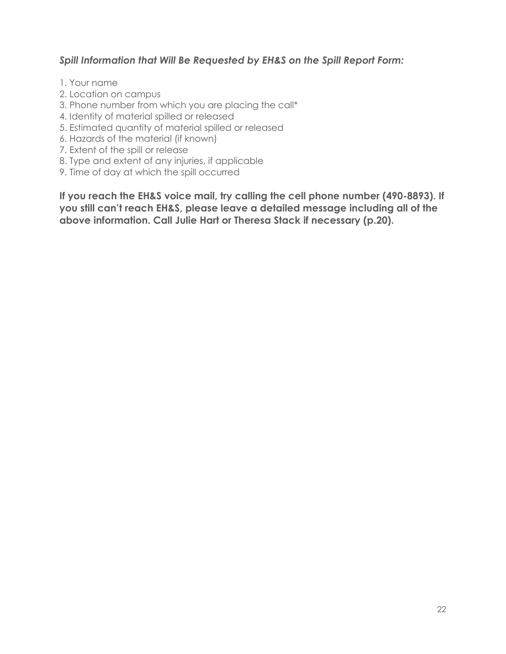### *Spill Information that Will Be Requested by EH&S on the Spill Report Form:*

- 1. Your name
- 2. Location on campus
- 3. Phone number from which you are placing the call\*
- 4. Identity of material spilled or released
- 5. Estimated quantity of material spilled or released
- 6. Hazards of the material (if known)
- 7. Extent of the spill or release
- 8. Type and extent of any injuries, if applicable
- 9. Time of day at which the spill occurred

**If you reach the EH&S voice mail, try calling the cell phone number (490-8893). If you still can't reach EH&S, please leave a detailed message including all of the above information. Call Julie Hart or Theresa Stack if necessary (p.20).**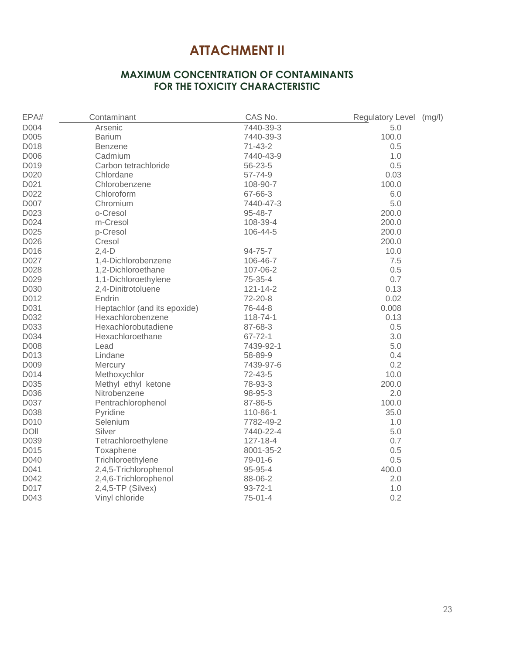### **ATTACHMENT II**

### **MAXIMUM CONCENTRATION OF CONTAMINANTS FOR THE TOXICITY CHARACTERISTIC**

| EPA#        | Contaminant                  | CAS No.        | Regulatory Level<br>(mg/l) |
|-------------|------------------------------|----------------|----------------------------|
| D004        | Arsenic                      | 7440-39-3      | 5.0                        |
| D005        | <b>Barium</b>                | 7440-39-3      | 100.0                      |
| D018        | <b>Benzene</b>               | $71 - 43 - 2$  | 0.5                        |
| D006        | Cadmium                      | 7440-43-9      | 1.0                        |
| D019        | Carbon tetrachloride         | 56-23-5        | 0.5                        |
| D020        | Chlordane                    | 57-74-9        | 0.03                       |
| D021        | Chlorobenzene                | 108-90-7       | 100.0                      |
| D022        | Chloroform                   | 67-66-3        | 6.0                        |
| D007        | Chromium                     | 7440-47-3      | 5.0                        |
| D023        | o-Cresol                     | 95-48-7        | 200.0                      |
| D024        | m-Cresol                     | 108-39-4       | 200.0                      |
| D025        | p-Cresol                     | 106-44-5       | 200.0                      |
| D026        | Cresol                       |                | 200.0                      |
| D016        | $2,4-D$                      | $94 - 75 - 7$  | 10.0                       |
| D027        | 1,4-Dichlorobenzene          | 106-46-7       | 7.5                        |
| D028        | 1,2-Dichloroethane           | 107-06-2       | 0.5                        |
| D029        | 1,1-Dichloroethylene         | 75-35-4        | 0.7                        |
| D030        | 2,4-Dinitrotoluene           | $121 - 14 - 2$ | 0.13                       |
| D012        | Endrin                       | 72-20-8        | 0.02                       |
| D031        | Heptachlor (and its epoxide) | 76-44-8        | 0.008                      |
| D032        | Hexachlorobenzene            | 118-74-1       | 0.13                       |
| D033        | Hexachlorobutadiene          | 87-68-3        | 0.5                        |
| D034        | Hexachloroethane             | $67 - 72 - 1$  | 3.0                        |
| D008        | Lead                         | 7439-92-1      | 5.0                        |
| D013        | Lindane                      | 58-89-9        | 0.4                        |
| D009        | Mercury                      | 7439-97-6      | 0.2                        |
| D014        | Methoxychlor                 | 72-43-5        | 10.0                       |
| D035        | Methyl ethyl ketone          | 78-93-3        | 200.0                      |
| D036        | Nitrobenzene                 | 98-95-3        | 2.0                        |
| D037        | Pentrachlorophenol           | 87-86-5        | 100.0                      |
| D038        | Pyridine                     | 110-86-1       | 35.0                       |
| D010        | Selenium                     | 7782-49-2      | 1.0                        |
| <b>DOII</b> | Silver                       | 7440-22-4      | 5.0                        |
| D039        | Tetrachloroethylene          | 127-18-4       | 0.7                        |
| D015        | Toxaphene                    | 8001-35-2      | 0.5                        |
| D040        | Trichloroethylene            | 79-01-6        | 0.5                        |
| D041        | 2,4,5-Trichlorophenol        | 95-95-4        | 400.0                      |
| D042        | 2,4,6-Trichlorophenol        | 88-06-2        | 2.0                        |
| D017        | $2,4,5$ -TP (Silvex)         | $93 - 72 - 1$  | 1.0                        |
| D043        | Vinyl chloride               | $75 - 01 - 4$  | 0.2                        |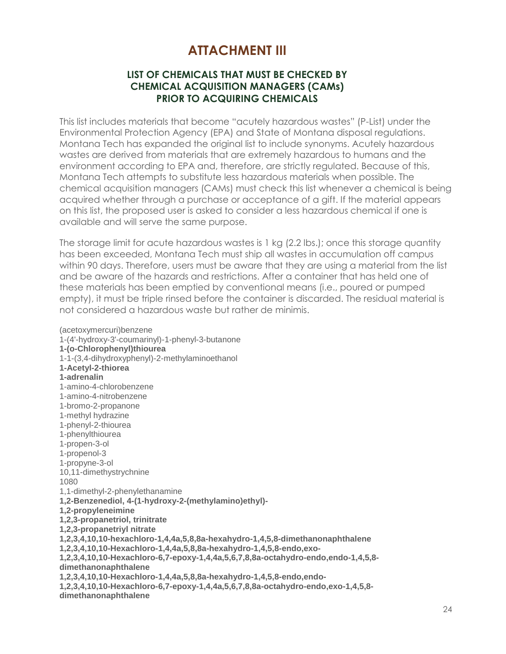### **ATTACHMENT III**

### **LIST OF CHEMICALS THAT MUST BE CHECKED BY CHEMICAL ACQUISITION MANAGERS (CAMs) PRIOR TO ACQUIRING CHEMICALS**

This list includes materials that become "acutely hazardous wastes" (P-List) under the Environmental Protection Agency (EPA) and State of Montana disposal regulations. Montana Tech has expanded the original list to include synonyms. Acutely hazardous wastes are derived from materials that are extremely hazardous to humans and the environment according to EPA and, therefore, are strictly regulated. Because of this, Montana Tech attempts to substitute less hazardous materials when possible. The chemical acquisition managers (CAMs) must check this list whenever a chemical is being acquired whether through a purchase or acceptance of a gift. If the material appears on this list, the proposed user is asked to consider a less hazardous chemical if one is available and will serve the same purpose.

The storage limit for acute hazardous wastes is 1 kg (2.2 lbs.); once this storage quantity has been exceeded, Montana Tech must ship all wastes in accumulation off campus within 90 days. Therefore, users must be aware that they are using a material from the list and be aware of the hazards and restrictions. After a container that has held one of these materials has been emptied by conventional means (i.e., poured or pumped empty), it must be triple rinsed before the container is discarded. The residual material is not considered a hazardous waste but rather de minimis.

(acetoxymercuri)benzene 1-(4'-hydroxy-3'-coumarinyl)-1-phenyl-3-butanone **1-(o-Chlorophenyl)thiourea** 1-1-(3,4-dihydroxyphenyl)-2-methylaminoethanol **1-Acetyl-2-thiorea 1-adrenalin** 1-amino-4-chlorobenzene 1-amino-4-nitrobenzene 1-bromo-2-propanone 1-methyl hydrazine 1-phenyl-2-thiourea 1-phenylthiourea 1-propen-3-ol 1-propenol-3 1-propyne-3-ol 10,11-dimethystrychnine 1080 1,1-dimethyl-2-phenylethanamine **1,2-Benzenediol, 4-(1-hydroxy-2-(methylamino)ethyl)- 1,2-propyleneimine 1,2,3-propanetriol, trinitrate 1,2,3-propanetriyl nitrate 1,2,3,4,10,10-hexachloro-1,4,4a,5,8,8a-hexahydro-1,4,5,8-dimethanonaphthalene 1,2,3,4,10,10-Hexachloro-1,4,4a,5,8,8a-hexahydro-1,4,5,8-endo,exo-1,2,3,4,10,10-Hexachloro-6,7-epoxy-1,4,4a,5,6,7,8,8a-octahydro-endo,endo-1,4,5,8 dimethanonaphthalene 1,2,3,4,10,10-Hexachloro-1,4,4a,5,8,8a-hexahydro-1,4,5,8-endo,endo-1,2,3,4,10,10-Hexachloro-6,7-epoxy-1,4,4a,5,6,7,8,8a-octahydro-endo,exo-1,4,5,8 dimethanonaphthalene**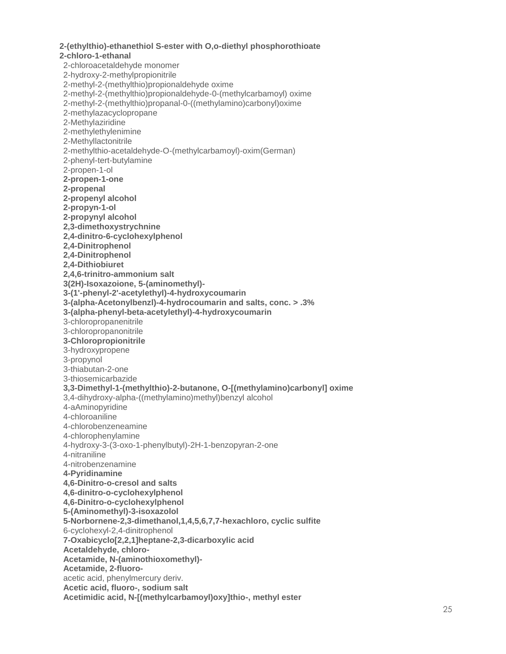**2 -(ethylthio) -ethanethiol S -ester with O,o -diethyl phosphorothioate 2 -chloro - 1 -ethanal** 2 -chloroacetaldehyde monomer 2 -hydroxy - 2 -methylpropionitrile 2-methyl-2-(methylthio)propionaldehyde oxime 2-methyl-2-(methylthio)propionaldehyde-0-(methylcarbamoyl) oxime 2-methyl-2-(methylthio)propanal-0-((methylamino)carbonyl)oxime 2 -methylazacyclopropan e 2 -Methylaziridine 2 -methylethylenimine 2 -Methyllactonitrile 2 -methylthio -acetaldehyde - O -(methylcarbamoyl) -oxim(German) 2 -phenyl -tert -butylamine 2-propen-1-ol **2 -propen - 1 -one 2 -propenal 2 -propenyl alcohol 2 -propyn - 1 -ol 2 -propynyl alcohol 2,3 -dimethoxystrychnine 2,4 -dinitro - 6 -cyclohexylphenol 2,4 -Dinitrophenol 2,4 -Dinitrophenol 2,4 -Dithiobiuret 2,4,6 -trinitro -ammonium salt 3(2H) -Isoxazoione, 5 -(aminomethyl) - 3 -(1' -phenyl -2' -acetylethyl) - 4 -hydroxycoumarin 3 -(alpha -Acetonylbenzl) - 4 -hydrocoumarin and salts, conc. > .3% 3 -(alpha -phenyl -beta -acetylethyl) - 4 -hydroxycoumarin** 3 -chloropropanenitrile 3 -chloropropanonitrile **3 -Chloropropionitrile** 3 -hydroxypropene 3 -propynol 3-thiabutan-2-one 3 -thiosemicarbazide **3,3 -Dimethyl - 1 -(methylthio) - 2 -butanone, O - [(methylamino)carbonyl] oxime** 3,4 -dihydroxy -alpha -((methylamino)methyl)benzyl alcohol 4 -aAminopyridine 4 -chloroaniline 4 -chlorobenzeneamine 4 -chlorophenylamine 4-hydroxy-3-(3-oxo-1-phenylbutyl)-2H-1-benzopyran-2-one 4 -nitraniline 4 -nitrobenzenamine **4 -Pyridinamine 4,6 -Dinitro - o -cresol and salts 4,6 -dinitro - o -cyclohexylphenol 4,6 -Dinitro - o -cyclohexylphenol 5 -(Aminomethyl) - 3 -isoxazolol 5 -Norbornene -2,3 -dimethanol,1,4,5,6,7,7 -hexachloro, cyclic sulfite** 6 -cyclohexyl -2,4 -dinitrophenol **7 -Oxabicyclo[2,2,1]heptane -2,3 -dicarboxylic acid Acetaldehyde, chloro - Acetamide, N -(aminothioxomethyl) - Acetamide, 2 -fluoro**  acetic acid, phenylmercury deriv. **Acetic acid, fluoro -, sodium salt Acetimidic acid, N -[(methylcarbamoyl)oxy]thio -, methyl ester**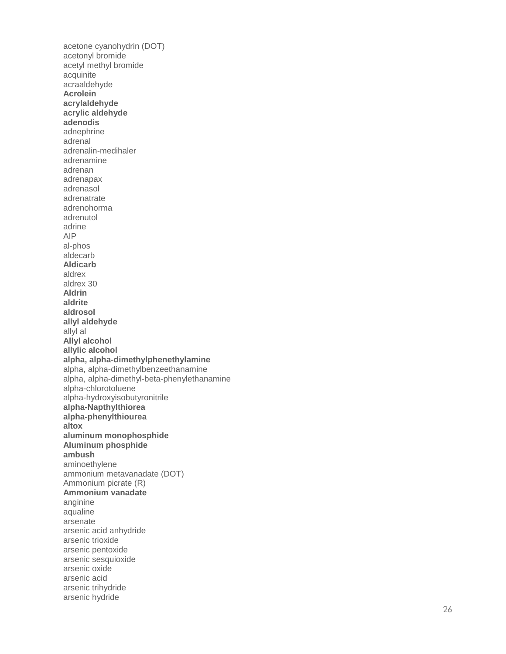acetone cyanohydrin (DOT) acetonyl bromide acetyl methyl bromide acquinite acraaldehyde **Acrolein acrylaldehyde acrylic aldehyde adenodis** adnephrine adrenal adrenalin -medihaler adrenamine adrenan adrenapax adrenasol adrenatrate adrenohorma adrenutol adrine AIP al -phos aldecarb **Aldicarb** aldrex aldrex 30 **Aldrin aldrite aldrosol allyl aldehyde** allyl al **Allyl alcohol allylic alcohol alpha, alpha -dimethylphenethylamine** alpha, alpha -dimethylbenzeethanamine alpha, alpha -dimethyl -beta -phenylethanamine alpha -chlorotoluene alpha -hydroxyisobutyronitrile **alpha -Napthylthiorea alpha -phenylthiourea altox aluminum monophosphide Aluminum phosphide ambush** aminoethylene ammonium metavanadate (DOT) Ammonium picrate (R) **Ammonium vanadate** anginine aqualine arsenate arsenic acid anhydride arsenic trioxide arsenic pentoxide arsenic sesquioxide arsenic oxide arsenic acid arsenic trihydride arsenic hydride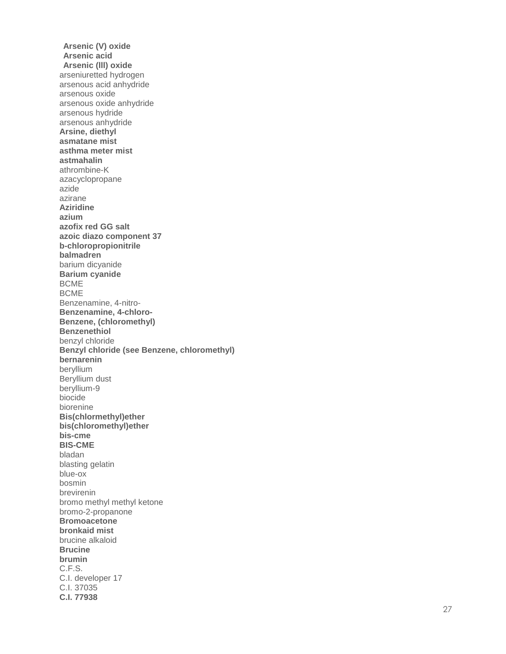**Arsenic (V) oxide Arsenic acid Arsenic (lll) oxide** arseniuretted hydrogen arsenous acid anhydride arsenous oxide arsenous oxide anhydride arsenous hydride arsenous anhydride **Arsine, diethyl asmatane mist asthma meter mist astmahalin** athrombine - K azacyclopropane azide azirane **Aziridine azium azofix red GG salt azoic diazo component 37 b-chloropropionitrile balmadren** barium dicyanide **Barium cyanide** BCME BCME Benzenamine, 4 -nitro - **Benzenamine, 4 -chloro - Benzene, (chloromethyl) Benzenethiol** benzyl chloride **Benzyl chloride (see Benzene, chloromethyl) bernarenin** beryllium Beryllium dust beryllium - 9 biocide biorenine **Bis(chlormethyl)ether bis(chloromethyl)ether bis -cme BIS -CME** bladan blasting gelatin blue -ox bosmin brevirenin bromo methyl methyl ketone bromo - 2 -propanone **Bromoacetone bronkaid mist** brucine alkaloid **Brucine brumin** C.F.S. C.I. developer 17 C.I. 37035 **C.I. 77938**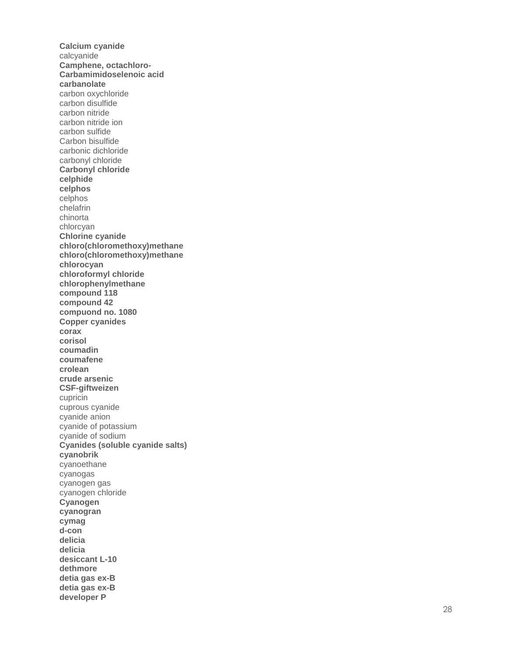**Calcium cyanide** calcyanide Camphene, octachloro-Carbamimidoselenoic acid carbanolate carbon oxychloride carbon disulfide carbon nitride carbon nitride ion carbon sulfide Carbon bisulfide carbonic dichloride carbonyl chloride **Carbonyl chloride** celphide celphos celphos chelafrin chinorta chlorcyan Chlorine cyanide chloro(chloromethoxy)methane chloro(chloromethoxy)methane chlorocyan chloroformyl chloride chlorophenylmethane compound 118 compound 42 compuond no. 1080 **Copper cyanides** corax corisol coumadin coumafene crolean crude arsenic **CSF-giftweizen** cupricin cuprous cyanide cyanide anion cyanide of potassium cyanide of sodium Cyanides (soluble cyanide salts) cyanobrik cyanoethane cyanogas cyanogen gas cyanogen chloride Cyanogen cyanogran cymag d-con delicia delicia desiccant L-10 dethmore detia gas ex-B detia gas ex-B developer P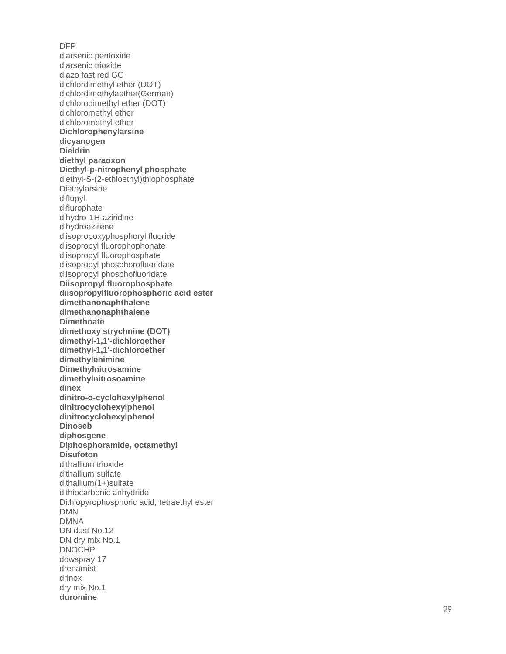DFP diarsenic pentoxide diarsenic trioxide diazo fast red GG dichlordimethyl ether (DOT) dichlordimethylaether(German) dichlorodimethyl ether (DOT) dichloromethyl ether dichloromethyl ether **Dichlorophenylarsine dicyanogen Dieldrin diethyl paraoxon Diethyl - p -nitrophenyl phosphate** diethyl - S -(2 -ethioethyl)thiophosphate **Diethylarsine** diflupyl diflurophate dihydro -1H -aziridine dihydroazirene diisopropoxyphosphoryl fluoride diisopropyl fluorophophonate diisopropyl fluorophosphate diisopropyl phosphorofluoridate diisopropyl phosphofluoridate **Diisopropyl fluorophosphate diisopropylfluorophosphoric acid ester dimethanonaphthalene dimethanonaphthalene Dimethoate dimethoxy strychnine (DOT) dimethyl -1,1' -dichloroether dimethyl -1,1' -dichloroether dimethylenimine Dimethylnitrosamine dimethylnitrosoamine dinex dinitro - o -cyclohexylphenol dinitrocyclohexylphenol dinitrocyclohexylphenol Dinoseb diphosgene Diphosphoramide, octamethyl Disufoton** dithallium trioxide dithallium sulfate dithallium(1+)sulfate dithiocarbonic anhydride Dithiopyrophosphoric acid, tetraethyl ester DMN DMNA DN dust No.12 DN dry mix No.1 DNOCHP dowspray 17 drenamist drinox dry mix No.1 **duromine**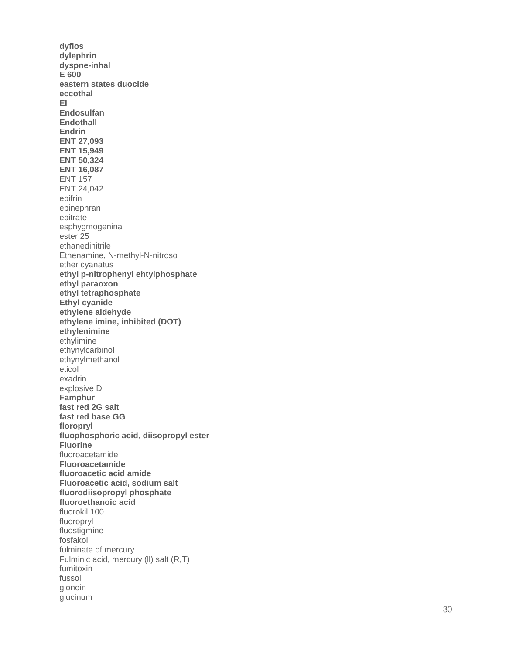dyflos dylephrin dyspne-inhal E 600 eastern states duocide eccothal EL. Endosulfan **Endothall** Endrin **ENT 27,093 ENT 15,949 ENT 50,324 ENT 16,087 ENT 157** ENT 24,042 epifrin epinephran epitrate esphygmogenina ester 25 ethanedinitrile Ethenamine, N-methyl-N-nitroso ether cyanatus ethyl p-nitrophenyl ehtylphosphate ethyl paraoxon ethyl tetraphosphate **Ethyl cyanide** ethylene aldehyde ethylene imine, inhibited (DOT) ethylenimine ethylimine ethynylcarbinol ethynylmethanol eticol exadrin explosive D Famphur fast red 2G salt fast red base GG floropryl fluophosphoric acid, diisopropyl ester **Fluorine** fluoroacetamide Fluoroacetamide fluoroacetic acid amide Fluoroacetic acid, sodium salt fluorodiisopropyl phosphate fluoroethanoic acid fluorokil 100 fluoropryl fluostigmine fosfakol fulminate of mercury Fulminic acid, mercury (II) salt (R,T) fumitoxin fussol glonoin glucinum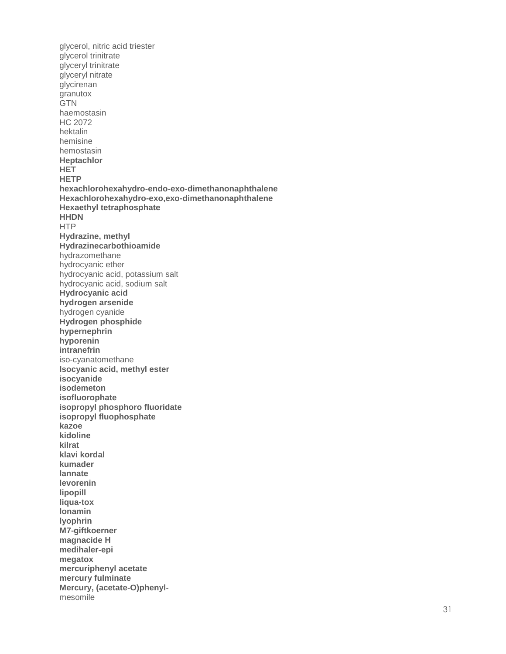glycerol, nitric acid triester glycerol trinitrate glyceryl trinitrate glyceryl nitrate glycirenan granutox **GTN** haemostasin **HC 2072** hektalin hemisine hemostasin **Heptachlor HET HETP** hexachlorohexahydro-endo-exo-dimethanonaphthalene Hexachlorohexahydro-exo, exo-dimethanonaphthalene **Hexaethyl tetraphosphate HHDN HTP** Hydrazine, methyl Hydrazinecarbothioamide hydrazomethane hydrocyanic ether hydrocyanic acid, potassium salt hydrocyanic acid, sodium salt Hydrocyanic acid hydrogen arsenide hydrogen cyanide Hydrogen phosphide hypernephrin hyporenin intranefrin iso-cyanatomethane Isocyanic acid, methyl ester isocyanide isodemeton isofluorophate isopropyl phosphoro fluoridate isopropyl fluophosphate kazoe kidoline kilrat klavi kordal kumader lannate levorenin lipopill liqua-tox Ionamin **Ivophrin** M7-giftkoerner magnacide H medihaler-epi megatox mercuriphenyl acetate mercury fulminate Mercury, (acetate-O)phenylmesomile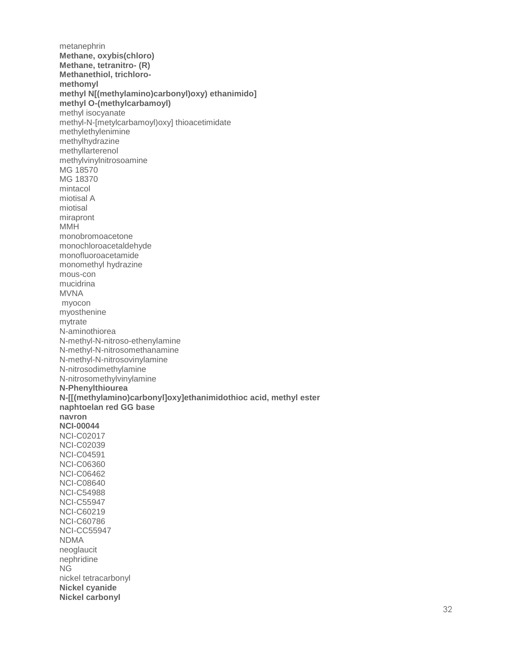metanephrin Methane, oxybis(chloro) Methane, tetranitro- (R) Methanethiol, trichloromethomyl methyl NJ(methylamino)carbonyl)oxy) ethanimido] methyl O-(methylcarbamoyl) methyl isocyanate methyl-N-[metylcarbamoyl)oxy] thioacetimidate methylethylenimine methylhydrazine methyllarterenol methylvinylnitrosoamine MG 18570 MG 18370 mintacol miotisal A miotisal mirapront **MMH** monobromoacetone monochloroacetaldehyde monofluoroacetamide monomethyl hydrazine mous-con mucidrina **MVNA** myocon myosthenine mytrate N-aminothiorea N-methyl-N-nitroso-ethenylamine N-methyl-N-nitrosomethanamine N-methyl-N-nitrosovinylamine N-nitrosodimethylamine N-nitrosomethylvinylamine N-Phenylthiourea N-[[(methylamino)carbonyl]oxy]ethanimidothioc acid, methyl ester naphtoelan red GG base navron **NCI-00044 NCI-C02017 NCI-C02039 NCI-C04591 NCI-C06360 NCI-C06462 NCI-C08640 NCI-C54988 NCI-C55947 NCI-C60219 NCI-C60786 NCI-CC55947 NDMA** neoglaucit nephridine **NG** nickel tetracarbonyl **Nickel cyanide Nickel carbonyl**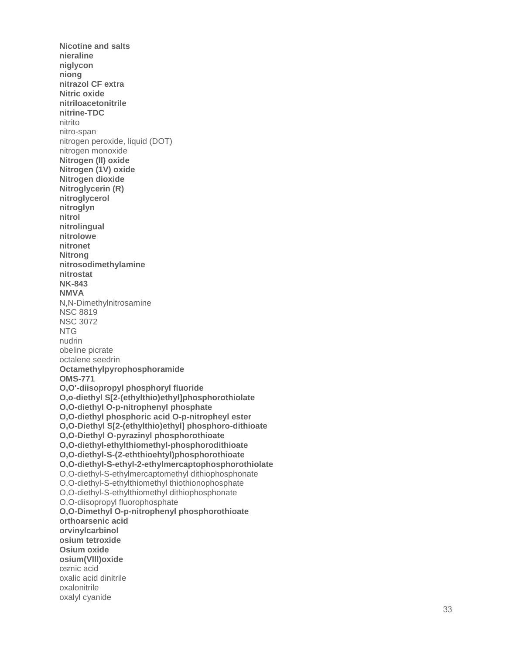**Nicotine and salts nieraline niglycon niong nitrazol CF extra Nitric oxide nitriloacetonitrile nitrine -TDC** nitrito nitro -span nitrogen peroxide, liquid (DOT) nitrogen monoxide **Nitrogen (ll) oxide Nitrogen (1V) oxide Nitrogen dioxide Nitroglycerin (R) nitroglycerol nitroglyn nitrol nitrolingual nitrolowe nitronet Nitrong nitrosodimethylamine nitrostat NK -843 NMVA** N,N -Dimethylnitrosamine NSC 8819 NSC 3072 NTG nudrin obeline picrate octalene seedrin **Octamethylpyrophosphoramide OMS -771 O,O' -diisopropyl phosphoryl fluoride O,o -diethyl S[2 -(ethylthio)ethyl]phosphorothiolate O,O -diethyl O - p -nitrophenyl phosphate O,O -diethyl phosphoric acid O - p -nitropheyl ester O,O -Diethyl S[2 -(ethylthio)ethyl] phosphoro -dithioate O,O -Diethyl O -pyrazinyl phosphorothioate O,O -diethyl -ethylthiomethyl -phosphorodithioate O,O -diethyl - S -(2 -eththioehtyl)phosphorothioate O,O -diethyl - S -ethyl - 2 -ethylmercaptophosphorothiolate** O,O-diethyl-S-ethylmercaptomethyl dithiophosphonate O,O -diethyl - S -ethylthiomethyl thiothionophosphate O,O -diethyl - S -ethylthiomethyl dithiophosphonate O,O -diisopropyl fluorophosphate **O,O -Dimethyl O - p -nitrophenyl phosphorothioate orthoarsenic acid orvinylcarbinol osium tetroxide Osium oxide osium(Vlll)oxide** osmic acid oxalic acid dinitrile oxalonitrile oxalyl cyanide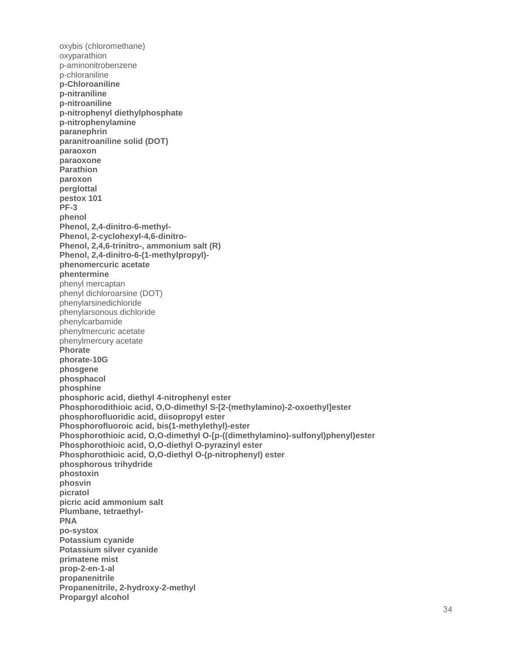oxybis (chloromethane) oxvparathion p-aminonitrobenzene p-chloraniline p-Chloroaniline p-nitraniline p-nitroaniline p-nitrophenyl diethylphosphate p-nitrophenylamine paranephrin paranitroaniline solid (DOT) paraoxon paraoxone **Parathion** paroxon perglottal pestox 101  $PF-3$ phenol Phenol, 2,4-dinitro-6-methyl-Phenol, 2-cyclohexyl-4,6-dinitro-Phenol, 2,4,6-trinitro-, ammonium salt (R) Phenol, 2,4-dinitro-6-(1-methylpropyl)phenomercuric acetate phentermine phenyl mercaptan phenyl dichloroarsine (DOT) phenylarsinedichloride phenylarsonous dichloride phenylcarbamide phenylmercuric acetate phenylmercury acetate Phorate phorate-10G phosgene phosphacol phosphine phosphoric acid, diethyl 4-nitrophenyl ester Phosphorodithioic acid, O,O-dimethyl S-[2-(methylamino)-2-oxoethyl]ester phosphorofluoridic acid, diisopropyl ester Phosphorofluoroic acid, bis(1-methylethyl)-ester Phosphorothioic acid, O,O-dimethyl O-[p-((dimethylamino)-sulfonyl)phenyl)ester Phosphorothioic acid, O,O-diethyl O-pyrazinyl ester Phosphorothioic acid, O,O-diethyl O-(p-nitrophenyl) ester phosphorous trihydride phostoxin phosvin picratol picric acid ammonium salt Plumbane, tetraethyl-**PNA** po-systox **Potassium cyanide** Potassium silver cyanide primatene mist prop-2-en-1-al propanenitrile Propanenitrile, 2-hydroxy-2-methyl **Propargyl alcohol**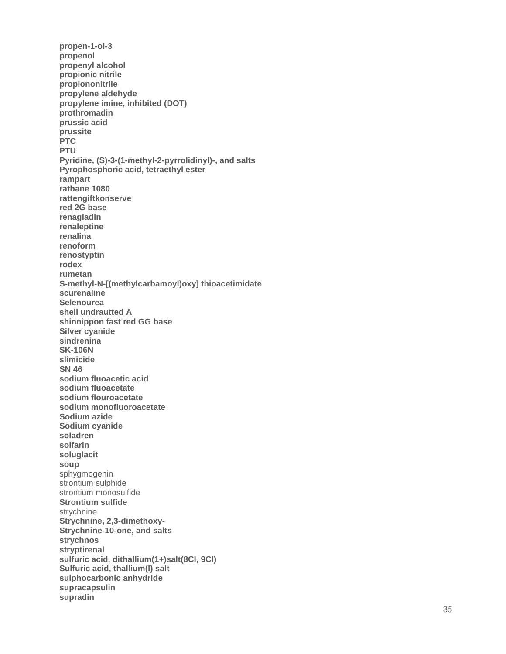propen-1-ol-3 propenol propenyl alcohol propionic nitrile propiononitrile propylene aldehyde propylene imine, inhibited (DOT) prothromadin prussic acid prussite **PTC PTU** Pyridine, (S)-3-(1-methyl-2-pyrrolidinyl)-, and salts Pyrophosphoric acid, tetraethyl ester rampart ratbane 1080 rattengiftkonserve red 2G base renagladin renaleptine renalina renoform renostyptin rodex rumetan S-methyl-N-[(methylcarbamoyl)oxy] thioacetimidate scurenaline Selenourea shell undrautted A shinnippon fast red GG base Silver cyanide sindrenina **SK-106N** slimicide **SN 46** sodium fluoacetic acid sodium fluoacetate sodium flouroacetate sodium monofluoroacetate Sodium azide Sodium cyanide soladren solfarin soluglacit soup sphygmogenin strontium sulphide strontium monosulfide **Strontium sulfide** strychnine Strychnine, 2,3-dimethoxy-Strychnine-10-one, and salts strychnos stryptirenal sulfuric acid, dithallium(1+)salt(8CI, 9CI) Sulfuric acid, thallium(I) salt sulphocarbonic anhydride supracapsulin supradin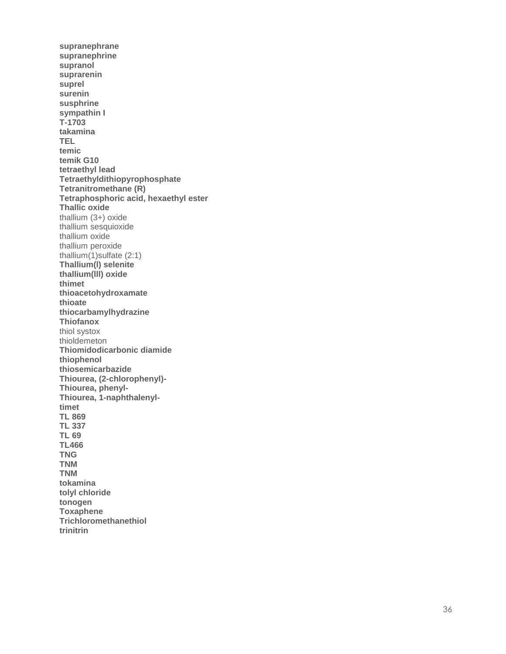supranephrane supranephrine supranol suprarenin suprel surenin susphrine sympathin I  $T-1703$ takamina **TEL** temic temik G10 tetraethyl lead Tetraethyldithiopyrophosphate **Tetranitromethane (R)** Tetraphosphoric acid, hexaethyl ester **Thallic oxide** thallium  $(3+)$  oxide thallium sesquioxide thallium oxide thallium peroxide thallium $(1)$ sulfate  $(2:1)$ Thallium(I) selenite thallium(III) oxide thimet thioacetohydroxamate thioate thiocarbamylhydrazine **Thiofanox** thiol systox thioldemeton Thiomidodicarbonic diamide thiophenol thiosemicarbazide Thiourea, (2-chlorophenyl)-Thiourea, phenyl-Thiourea, 1-naphthalenyltimet **TL 869 TL 337 TL 69 TL466 TNG TNM TNM** tokamina tolyl chloride tonogen **Toxaphene** Trichloromethanethiol trinitrin